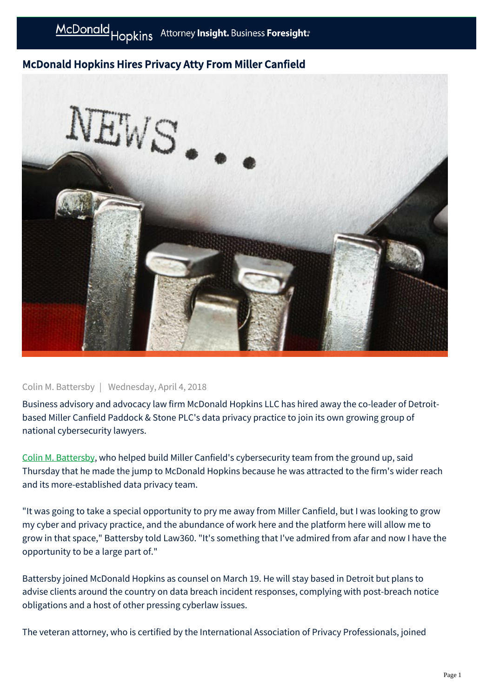## McDonald Hopkins Hires Privacy Atty From Miller Canfield



## Colin M. Battersby | Wednesday, April 4, 2018

Business advisory and advocacy law firm McDonald Hopkins LLC has hired away the co-leader of Detroitbased Miller Canfield Paddock & Stone PLC's data privacy practice to join its own growing group of national cybersecurity lawyers.

[Colin M. Battersby](https://businessadvocate.mcdonaldhopkins.com/link.aspx?_id=6C6EDB465ABE459D9798A7C1E6B225D4&_z=z), who helped build Miller Canfield's cybersecurity team from the ground up, said Thursday that he made the jump to McDonald Hopkins because he was attracted to the firm's wider reach and its more-established data privacy team.

"It was going to take a special opportunity to pry me away from Miller Canfield, but I was looking to grow my cyber and privacy practice, and the abundance of work here and the platform here will allow me to grow in that space," Battersby told Law360. "It's something that I've admired from afar and now I have the opportunity to be a large part of."

Battersby joined McDonald Hopkins as counsel on March 19. He will stay based in Detroit but plans to advise clients around the country on data breach incident responses, complying with post-breach notice obligations and a host of other pressing cyberlaw issues.

The veteran attorney, who is certified by the International Association of Privacy Professionals, joined